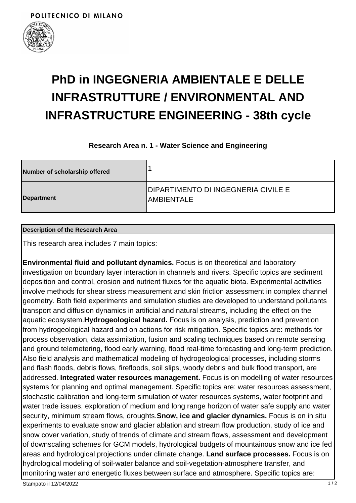

# **PhD in INGEGNERIA AMBIENTALE E DELLE INFRASTRUTTURE / ENVIRONMENTAL AND INFRASTRUCTURE ENGINEERING - 38th cycle**

### **Research Area n. 1 - Water Science and Engineering**

| Number of scholarship offered |                                                           |
|-------------------------------|-----------------------------------------------------------|
| Department                    | DIPARTIMENTO DI INGEGNERIA CIVILE E<br><b>IAMBIENTALE</b> |

#### **Description of the Research Area**

This research area includes 7 main topics:

**Environmental fluid and pollutant dynamics.** Focus is on theoretical and laboratory investigation on boundary layer interaction in channels and rivers. Specific topics are sediment deposition and control, erosion and nutrient fluxes for the aquatic biota. Experimental activities involve methods for shear stress measurement and skin friction assessment in complex channel geometry. Both field experiments and simulation studies are developed to understand pollutants transport and diffusion dynamics in artificial and natural streams, including the effect on the aquatic ecosystem.**Hydrogeological hazard.** Focus is on analysis, prediction and prevention from hydrogeological hazard and on actions for risk mitigation. Specific topics are: methods for process observation, data assimilation, fusion and scaling techniques based on remote sensing and ground telemetering, flood early warning, flood real-time forecasting and long-term prediction. Also field analysis and mathematical modeling of hydrogeological processes, including storms and flash floods, debris flows, firefloods, soil slips, woody debris and bulk flood transport, are addressed. **Integrated water resources management.** Focus is on modelling of water resources systems for planning and optimal management. Specific topics are: water resources assessment, stochastic calibration and long-term simulation of water resources systems, water footprint and water trade issues, exploration of medium and long range horizon of water safe supply and water security, minimum stream flows, droughts.**Snow, ice and glacier dynamics.** Focus is on in situ experiments to evaluate snow and glacier ablation and stream flow production, study of ice and snow cover variation, study of trends of climate and stream flows, assessment and development of downscaling schemes for GCM models, hydrological budgets of mountainous snow and ice fed areas and hydrological projections under climate change. **Land surface processes.** Focus is on hydrological modeling of soil-water balance and soil-vegetation-atmosphere transfer, and monitoring water and energetic fluxes between surface and atmosphere. Specific topics are: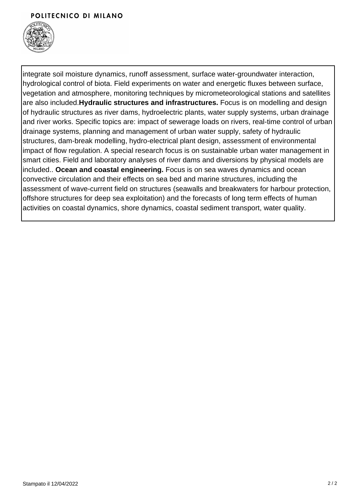#### POLITECNICO DI MILANO



integrate soil moisture dynamics, runoff assessment, surface water-groundwater interaction, hydrological control of biota. Field experiments on water and energetic fluxes between surface, vegetation and atmosphere, monitoring techniques by micrometeorological stations and satellites are also included.**Hydraulic structures and infrastructures.** Focus is on modelling and design of hydraulic structures as river dams, hydroelectric plants, water supply systems, urban drainage and river works. Specific topics are: impact of sewerage loads on rivers, real-time control of urban drainage systems, planning and management of urban water supply, safety of hydraulic structures, dam-break modelling, hydro-electrical plant design, assessment of environmental impact of flow regulation. A special research focus is on sustainable urban water management in smart cities. Field and laboratory analyses of river dams and diversions by physical models are included.. **Ocean and coastal engineering.** Focus is on sea waves dynamics and ocean convective circulation and their effects on sea bed and marine structures, including the assessment of wave-current field on structures (seawalls and breakwaters for harbour protection, offshore structures for deep sea exploitation) and the forecasts of long term effects of human activities on coastal dynamics, shore dynamics, coastal sediment transport, water quality.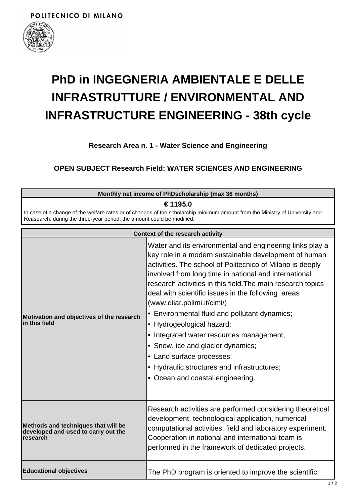

## **PhD in INGEGNERIA AMBIENTALE E DELLE INFRASTRUTTURE / ENVIRONMENTAL AND INFRASTRUCTURE ENGINEERING - 38th cycle**

**Research Area n. 1 - Water Science and Engineering**

### **OPEN SUBJECT Research Field: WATER SCIENCES AND ENGINEERING**

| Monthly net income of PhDscholarship (max 36 months)<br>€ 1195.0                                                                                                                                       |                                                                                                                                                                                                                                                                                                                                                                                                                                                                                                                                                                                                                                                                            |  |
|--------------------------------------------------------------------------------------------------------------------------------------------------------------------------------------------------------|----------------------------------------------------------------------------------------------------------------------------------------------------------------------------------------------------------------------------------------------------------------------------------------------------------------------------------------------------------------------------------------------------------------------------------------------------------------------------------------------------------------------------------------------------------------------------------------------------------------------------------------------------------------------------|--|
| In case of a change of the welfare rates or of changes of the scholarship minimum amount from the Ministry of University and<br>Reasearch, during the three-year period, the amount could be modified. |                                                                                                                                                                                                                                                                                                                                                                                                                                                                                                                                                                                                                                                                            |  |
|                                                                                                                                                                                                        | <b>Context of the research activity</b>                                                                                                                                                                                                                                                                                                                                                                                                                                                                                                                                                                                                                                    |  |
| Motivation and objectives of the research<br>in this field                                                                                                                                             | Water and its environmental and engineering links play a<br>key role in a modern sustainable development of human<br>activities. The school of Politecnico of Milano is deeply<br>involved from long time in national and international<br>research activities in this field. The main research topics<br>deal with scientific issues in the following areas<br>(www.diiar.polimi.it/cimi/)<br>• Environmental fluid and pollutant dynamics;<br>• Hydrogeological hazard;<br>• Integrated water resources management;<br>• Snow, ice and glacier dynamics;<br>• Land surface processes;<br>• Hydraulic structures and infrastructures;<br>• Ocean and coastal engineering. |  |
| Methods and techniques that will be<br>developed and used to carry out the<br>research                                                                                                                 | Research activities are performed considering theoretical<br>development, technological application, numerical<br>computational activities, field and laboratory experiment.<br>Cooperation in national and international team is<br>performed in the framework of dedicated projects.                                                                                                                                                                                                                                                                                                                                                                                     |  |
| <b>Educational objectives</b>                                                                                                                                                                          | The PhD program is oriented to improve the scientific                                                                                                                                                                                                                                                                                                                                                                                                                                                                                                                                                                                                                      |  |